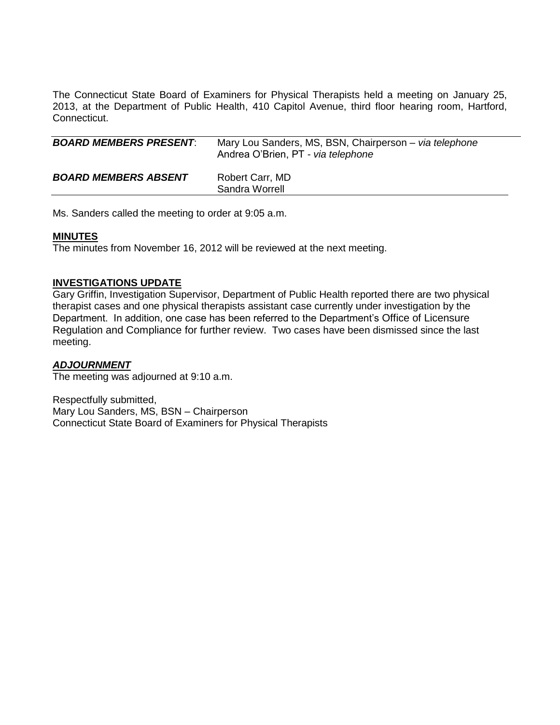The Connecticut State Board of Examiners for Physical Therapists held a meeting on January 25, 2013, at the Department of Public Health, 410 Capitol Avenue, third floor hearing room, Hartford, Connecticut.

| <b>BOARD MEMBERS PRESENT:</b> | Mary Lou Sanders, MS, BSN, Chairperson – via telephone<br>Andrea O'Brien, PT - via telephone |
|-------------------------------|----------------------------------------------------------------------------------------------|
| <b>BOARD MEMBERS ABSENT</b>   | Robert Carr, MD<br>Sandra Worrell                                                            |

Ms. Sanders called the meeting to order at 9:05 a.m.

### **MINUTES**

The minutes from November 16, 2012 will be reviewed at the next meeting.

### **INVESTIGATIONS UPDATE**

Gary Griffin, Investigation Supervisor, Department of Public Health reported there are two physical therapist cases and one physical therapists assistant case currently under investigation by the Department. In addition, one case has been referred to the Department's Office of Licensure Regulation and Compliance for further review. Two cases have been dismissed since the last meeting.

## *ADJOURNMENT*

The meeting was adjourned at 9:10 a.m.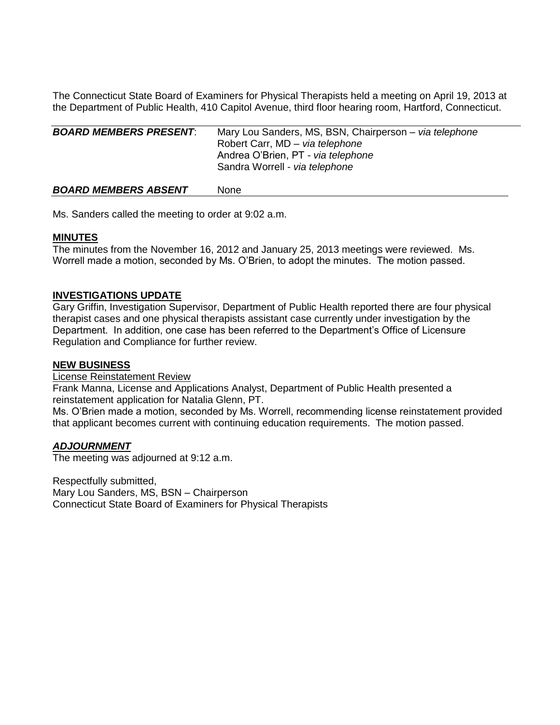The Connecticut State Board of Examiners for Physical Therapists held a meeting on April 19, 2013 at the Department of Public Health, 410 Capitol Avenue, third floor hearing room, Hartford, Connecticut.

| <b>BOARD MEMBERS PRESENT:</b> | Mary Lou Sanders, MS, BSN, Chairperson – via telephone<br>Robert Carr, MD - via telephone<br>Andrea O'Brien, PT - via telephone<br>Sandra Worrell - via telephone |
|-------------------------------|-------------------------------------------------------------------------------------------------------------------------------------------------------------------|
| <b>BOARD MEMBERS ABSENT</b>   | None                                                                                                                                                              |

Ms. Sanders called the meeting to order at 9:02 a.m.

### **MINUTES**

The minutes from the November 16, 2012 and January 25, 2013 meetings were reviewed. Ms. Worrell made a motion, seconded by Ms. O'Brien, to adopt the minutes. The motion passed.

# **INVESTIGATIONS UPDATE**

Gary Griffin, Investigation Supervisor, Department of Public Health reported there are four physical therapist cases and one physical therapists assistant case currently under investigation by the Department. In addition, one case has been referred to the Department's Office of Licensure Regulation and Compliance for further review.

## **NEW BUSINESS**

License Reinstatement Review

Frank Manna, License and Applications Analyst, Department of Public Health presented a reinstatement application for Natalia Glenn, PT.

Ms. O'Brien made a motion, seconded by Ms. Worrell, recommending license reinstatement provided that applicant becomes current with continuing education requirements. The motion passed.

#### *ADJOURNMENT*

The meeting was adjourned at 9:12 a.m.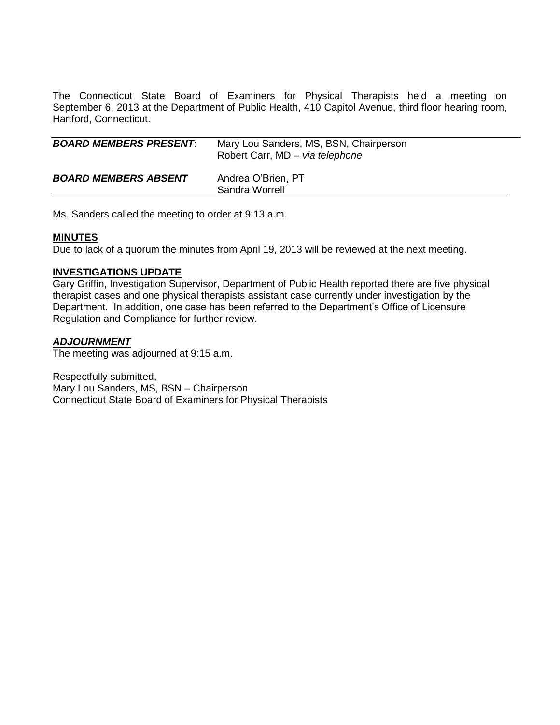The Connecticut State Board of Examiners for Physical Therapists held a meeting on September 6, 2013 at the Department of Public Health, 410 Capitol Avenue, third floor hearing room, Hartford, Connecticut.

| <b>BOARD MEMBERS PRESENT:</b> | Mary Lou Sanders, MS, BSN, Chairperson<br>Robert Carr, MD - via telephone |
|-------------------------------|---------------------------------------------------------------------------|
| <b>BOARD MEMBERS ABSENT</b>   | Andrea O'Brien, PT<br>Sandra Worrell                                      |

Ms. Sanders called the meeting to order at 9:13 a.m.

#### **MINUTES**

Due to lack of a quorum the minutes from April 19, 2013 will be reviewed at the next meeting.

### **INVESTIGATIONS UPDATE**

Gary Griffin, Investigation Supervisor, Department of Public Health reported there are five physical therapist cases and one physical therapists assistant case currently under investigation by the Department. In addition, one case has been referred to the Department's Office of Licensure Regulation and Compliance for further review.

# *ADJOURNMENT*

The meeting was adjourned at 9:15 a.m.